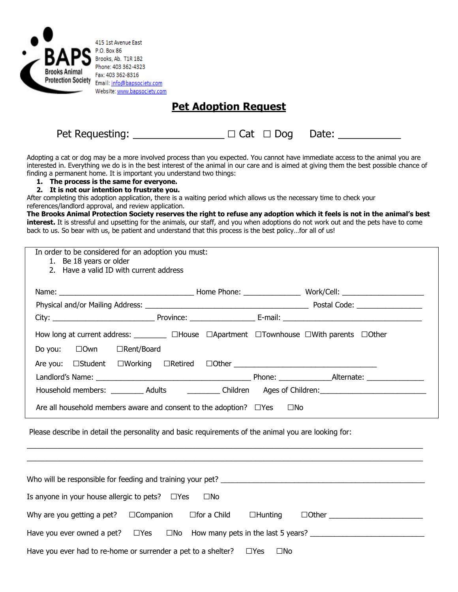

415 1st Avenue East P.O. Box 86 Brooks, Ab. T1R 1B2 Phone: 403 362-4323 Fax: 403 362-8316 Email: info@bapsociety.com Website: www.bapsociety.com

## **Pet Adoption Request**

| Pet Requesting: | $\Box$ Cat $\Box$ Dog Date: |  |
|-----------------|-----------------------------|--|
|                 |                             |  |

Adopting a cat or dog may be a more involved process than you expected. You cannot have immediate access to the animal you are interested in. Everything we do is in the best interest of the animal in our care and is aimed at giving them the best possible chance of finding a permanent home. It is important you understand two things:

- **1. The process is the same for everyone.**
- **2. It is not our intention to frustrate you.**

After completing this adoption application, there is a waiting period which allows us the necessary time to check your references/landlord approval, and review application.

**The Brooks Animal Protection Society reserves the right to refuse any adoption which it feels is not in the animal's best interest.** It is stressful and upsetting for the animals, our staff, and you when adoptions do not work out and the pets have to come back to us. So bear with us, be patient and understand that this process is the best policy…for all of us!

| In order to be considered for an adoption you must:<br>1. Be 18 years or older<br>2. Have a valid ID with current address                                                                                                                                                     |  |                                                                                                               |  |  |
|-------------------------------------------------------------------------------------------------------------------------------------------------------------------------------------------------------------------------------------------------------------------------------|--|---------------------------------------------------------------------------------------------------------------|--|--|
|                                                                                                                                                                                                                                                                               |  |                                                                                                               |  |  |
| Do you: □ Own □ Rent/Board                                                                                                                                                                                                                                                    |  | How long at current address: ___________ □House □Apartment □Townhouse □With parents □Other                    |  |  |
| Are all household members aware and consent to the adoption? $\square$ Yes $\square$ No                                                                                                                                                                                       |  | Household members: ___________ Adults _____________ Children ___ Ages of Children: __________________________ |  |  |
| Please describe in detail the personality and basic requirements of the animal you are looking for:                                                                                                                                                                           |  |                                                                                                               |  |  |
| Who will be responsible for feeding and training your pet?<br>Is anyone in your house allergic to pets? $\Box$ Yes<br>$\square$ No<br>Why are you getting a pet? $\square$ Companion $\square$ for a Child $\square$ Hunting<br>$\Box$ Other $\Box$ Other $\Box$ Other $\Box$ |  |                                                                                                               |  |  |
| Have you ever had to re-home or surrender a pet to a shelter? $\square$ Yes                                                                                                                                                                                                   |  | $\square$ No                                                                                                  |  |  |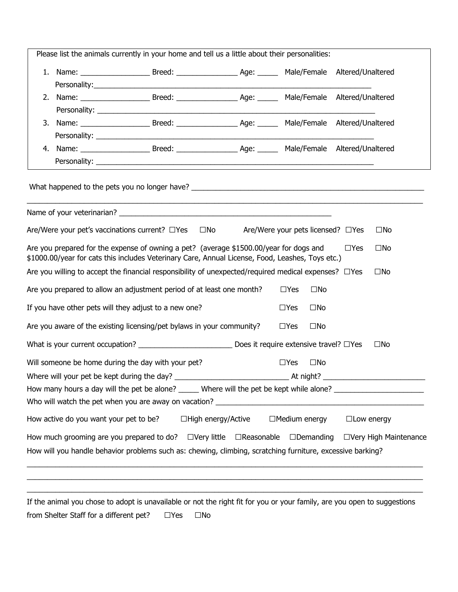|                                                                                                                            | Please list the animals currently in your home and tell us a little about their personalities:                                                                                             |                           |                   |                                   |                                                                                                                |
|----------------------------------------------------------------------------------------------------------------------------|--------------------------------------------------------------------------------------------------------------------------------------------------------------------------------------------|---------------------------|-------------------|-----------------------------------|----------------------------------------------------------------------------------------------------------------|
|                                                                                                                            |                                                                                                                                                                                            |                           |                   |                                   |                                                                                                                |
|                                                                                                                            |                                                                                                                                                                                            |                           |                   |                                   |                                                                                                                |
|                                                                                                                            |                                                                                                                                                                                            |                           |                   |                                   |                                                                                                                |
|                                                                                                                            |                                                                                                                                                                                            |                           |                   |                                   |                                                                                                                |
|                                                                                                                            |                                                                                                                                                                                            |                           |                   |                                   |                                                                                                                |
|                                                                                                                            |                                                                                                                                                                                            |                           |                   |                                   |                                                                                                                |
|                                                                                                                            |                                                                                                                                                                                            |                           |                   |                                   |                                                                                                                |
|                                                                                                                            |                                                                                                                                                                                            |                           |                   |                                   |                                                                                                                |
|                                                                                                                            |                                                                                                                                                                                            |                           |                   |                                   |                                                                                                                |
|                                                                                                                            | Are/Were your pet's vaccinations current? $\Box$ Yes $\Box$ No                                                                                                                             |                           |                   | Are/Were your pets licensed? □Yes | $\square$ No                                                                                                   |
|                                                                                                                            | Are you prepared for the expense of owning a pet? (average \$1500.00/year for dogs and<br>\$1000.00/year for cats this includes Veterinary Care, Annual License, Food, Leashes, Toys etc.) |                           |                   |                                   | $\square$ No<br>$\Box$ Yes                                                                                     |
| Are you willing to accept the financial responsibility of unexpected/required medical expenses? $\Box$ Yes<br>$\square$ No |                                                                                                                                                                                            |                           |                   |                                   |                                                                                                                |
|                                                                                                                            | Are you prepared to allow an adjustment period of at least one month?                                                                                                                      |                           |                   | $\Box$ Yes<br>$\square$ No        |                                                                                                                |
|                                                                                                                            | If you have other pets will they adjust to a new one?                                                                                                                                      |                           |                   | $\Box$ Yes<br>$\square$ No        |                                                                                                                |
|                                                                                                                            | Are you aware of the existing licensing/pet bylaws in your community?                                                                                                                      |                           |                   | $\Box$ Yes<br>$\square$ No        |                                                                                                                |
|                                                                                                                            |                                                                                                                                                                                            |                           |                   |                                   | $\square$ No                                                                                                   |
|                                                                                                                            | Will someone be home during the day with your pet?                                                                                                                                         |                           |                   | $\Box$ Yes<br>$\square$ No        |                                                                                                                |
|                                                                                                                            |                                                                                                                                                                                            |                           |                   |                                   |                                                                                                                |
|                                                                                                                            |                                                                                                                                                                                            |                           |                   |                                   | How many hours a day will the pet be alone? ______ Where will the pet be kept while alone? ___________________ |
|                                                                                                                            |                                                                                                                                                                                            |                           |                   |                                   |                                                                                                                |
|                                                                                                                            | How active do you want your pet to be?                                                                                                                                                     | $\Box$ High energy/Active |                   | $\Box$ Medium energy              | $\Box$ Low energy                                                                                              |
|                                                                                                                            | How much grooming are you prepared to do? $\square$ Very little                                                                                                                            |                           | $\Box$ Reasonable | $\Box$ Demanding                  | □Very High Maintenance                                                                                         |
|                                                                                                                            | How will you handle behavior problems such as: chewing, climbing, scratching furniture, excessive barking?                                                                                 |                           |                   |                                   |                                                                                                                |
|                                                                                                                            |                                                                                                                                                                                            |                           |                   |                                   |                                                                                                                |

If the animal you chose to adopt is unavailable or not the right fit for you or your family, are you open to suggestions from Shelter Staff for a different pet? □Yes □No

 $\_$  , and the state of the state of the state of the state of the state of the state of the state of the state of the state of the state of the state of the state of the state of the state of the state of the state of the  $\_$  , and the state of the state of the state of the state of the state of the state of the state of the state of the state of the state of the state of the state of the state of the state of the state of the state of the